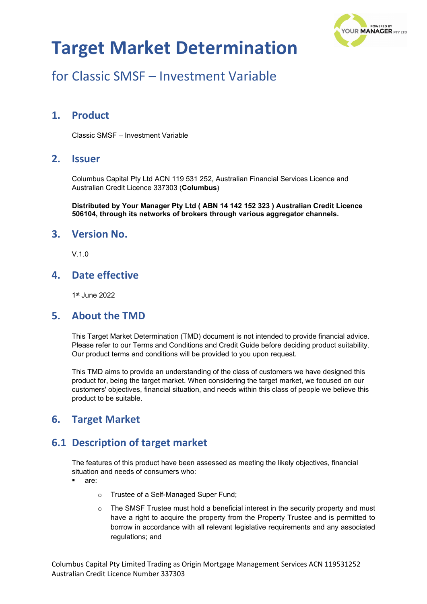

# for Classic SMSF – Investment Variable

## **1. Product**

Classic SMSF – Investment Variable

#### **2. Issuer**

Columbus Capital Pty Ltd ACN 119 531 252, Australian Financial Services Licence and Australian Credit Licence 337303 (**Columbus**)

**Distributed by Your Manager Pty Ltd ( ABN 14 142 152 323 ) Australian Credit Licence 506104, through its networks of brokers through various aggregator channels.**

#### **3. Version No.**

V.1.0

### **4. Date effective**

1st June 2022

#### **5. About the TMD**

This Target Market Determination (TMD) document is not intended to provide financial advice. Please refer to our Terms and Conditions and Credit Guide before deciding product suitability. Our product terms and conditions will be provided to you upon request.

This TMD aims to provide an understanding of the class of customers we have designed this product for, being the target market. When considering the target market, we focused on our customers' objectives, financial situation, and needs within this class of people we believe this product to be suitable.

## **6. Target Market**

## **6.1 Description of target market**

The features of this product have been assessed as meeting the likely objectives, financial situation and needs of consumers who:

- are:
	- o Trustee of a Self-Managed Super Fund;
	- $\circ$  The SMSF Trustee must hold a beneficial interest in the security property and must have a right to acquire the property from the Property Trustee and is permitted to borrow in accordance with all relevant legislative requirements and any associated regulations; and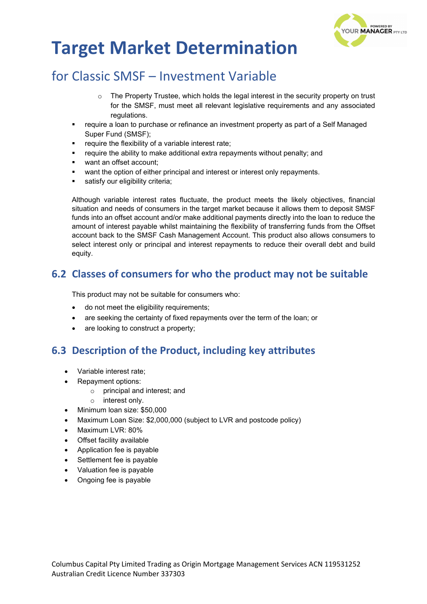

# for Classic SMSF – Investment Variable

- $\circ$  The Property Trustee, which holds the legal interest in the security property on trust for the SMSF, must meet all relevant legislative requirements and any associated regulations.
- require a loan to purchase or refinance an investment property as part of a Self Managed Super Fund (SMSF);
- require the flexibility of a variable interest rate;
- require the ability to make additional extra repayments without penalty; and
- want an offset account;
- want the option of either principal and interest or interest only repayments.
- satisfy our eligibility criteria;

Although variable interest rates fluctuate, the product meets the likely objectives, financial situation and needs of consumers in the target market because it allows them to deposit SMSF funds into an offset account and/or make additional payments directly into the loan to reduce the amount of interest payable whilst maintaining the flexibility of transferring funds from the Offset account back to the SMSF Cash Management Account. This product also allows consumers to select interest only or principal and interest repayments to reduce their overall debt and build equity.

## **6.2 Classes of consumers for who the product may not be suitable**

This product may not be suitable for consumers who:

- do not meet the eligibility requirements;
- are seeking the certainty of fixed repayments over the term of the loan; or
- are looking to construct a property;

## **6.3 Description of the Product, including key attributes**

- Variable interest rate;
- Repayment options:
	- o principal and interest; and
	- o interest only.
- Minimum loan size: \$50,000
- Maximum Loan Size: \$2,000,000 (subject to LVR and postcode policy)
- Maximum LVR: 80%
- Offset facility available
- Application fee is payable
- Settlement fee is payable
- Valuation fee is payable
- Ongoing fee is payable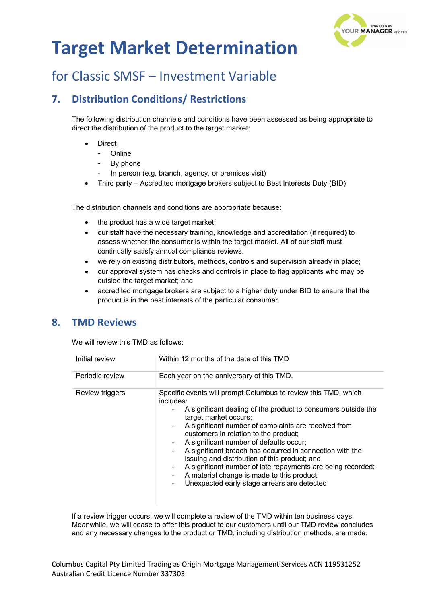

## for Classic SMSF – Investment Variable

## **7. Distribution Conditions/ Restrictions**

The following distribution channels and conditions have been assessed as being appropriate to direct the distribution of the product to the target market:

- **Direct** 
	- **Online**
	- By phone
	- In person (e.g. branch, agency, or premises visit)
- Third party Accredited mortgage brokers subject to Best Interests Duty (BID)

The distribution channels and conditions are appropriate because:

- the product has a wide target market;
- our staff have the necessary training, knowledge and accreditation (if required) to assess whether the consumer is within the target market. All of our staff must continually satisfy annual compliance reviews.
- we rely on existing distributors, methods, controls and supervision already in place;
- our approval system has checks and controls in place to flag applicants who may be outside the target market; and
- accredited mortgage brokers are subject to a higher duty under BID to ensure that the product is in the best interests of the particular consumer.

### **8. TMD Reviews**

We will review this TMD as follows:

| Initial review  | Within 12 months of the date of this TMD                                                                                                                                                                                                                                                                                                                                                                                                                                                                                                                                                                                                |
|-----------------|-----------------------------------------------------------------------------------------------------------------------------------------------------------------------------------------------------------------------------------------------------------------------------------------------------------------------------------------------------------------------------------------------------------------------------------------------------------------------------------------------------------------------------------------------------------------------------------------------------------------------------------------|
| Periodic review | Each year on the anniversary of this TMD.                                                                                                                                                                                                                                                                                                                                                                                                                                                                                                                                                                                               |
| Review triggers | Specific events will prompt Columbus to review this TMD, which<br>includes:<br>A significant dealing of the product to consumers outside the<br>۰.<br>target market occurs;<br>A significant number of complaints are received from<br>$\sim$<br>customers in relation to the product;<br>A significant number of defaults occur;<br>۰<br>A significant breach has occurred in connection with the<br>$\blacksquare$<br>issuing and distribution of this product; and<br>A significant number of late repayments are being recorded;<br>A material change is made to this product.<br>Unexpected early stage arrears are detected<br>۰. |

If a review trigger occurs, we will complete a review of the TMD within ten business days. Meanwhile, we will cease to offer this product to our customers until our TMD review concludes and any necessary changes to the product or TMD, including distribution methods, are made.